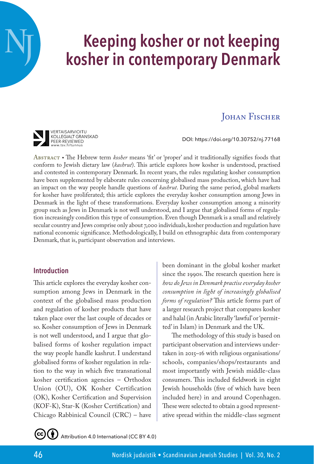# **Keeping kosher or not keeping kosher in contemporary Denmark**

# **JOHAN FISCHER**

DOI: https://doi.org/10.30752/nj.77168

Abstract • The Hebrew term *kosher* means 'fit' or 'proper' and it traditionally signifies foods that conform to Jewish dietary law (*kashrut*). This article explores how kosher is understood, practised and contested in contemporary Denmark. In recent years, the rules regulating kosher consumption have been supplemented by elaborate rules concerning globalised mass production, which have had an impact on the way people handle questions of *kashrut*. During the same period, global markets for kosher have proliferated; this article explores the everyday kosher consumption among Jews in Denmark in the light of these transformations. Everyday kosher consumption among a minority group such as Jews in Denmark is not well understood, and I argue that globalised forms of regulation increasingly condition this type of consumption. Even though Denmark is a small and relatively secular country and Jews comprise only about 7,000 individuals, kosher production and regulation have national economic significance. Methodologically, I build on ethnographic data from contemporary Denmark, that is, participant observation and interviews.

## **Introduction**

VERTAISARVIOITU KOLLEGIALT GRANSKAD PEER-REVIEWED<br>www.tsv.fi/tunnus

**NJ**

This article explores the everyday kosher consumption among Jews in Denmark in the context of the globalised mass production and regulation of kosher products that have taken place over the last couple of decades or so. Kosher consumption of Jews in Denmark is not well understood, and I argue that globalised forms of kosher regulation impact the way people handle kashrut. I understand globalised forms of kosher regulation in relation to the way in which five transnational kosher certification agencies – Orthodox Union (OU), OK Kosher Certification (OK), Kosher Certification and Supervision (KOF-K), Star-K (Kosher Certification) and Chicago Rabbinical Council (CRC) – have

been dominant in the global kosher market since the 1990s. The research question here is *how do Jews in Denmark practise everyday kosher consumption in light of increasingly globalised forms of regulation?* This article forms part of a larger research project that compares kosher and halal (in Arabic literally 'lawful' or 'permitted' in Islam) in Denmark and the UK.

The methodology of this study is based on participant observation and interviews undertaken in 2015–16 with religious organisations/ schools, companies/shops/restaurants and most importantly with Jewish middle-class consumers. This included fieldwork in eight Jewish households (five of which have been included here) in and around Copenhagen. These were selected to obtain a good representative spread within the middle-class segment



Attribution 4.0 International (CC BY 4.0)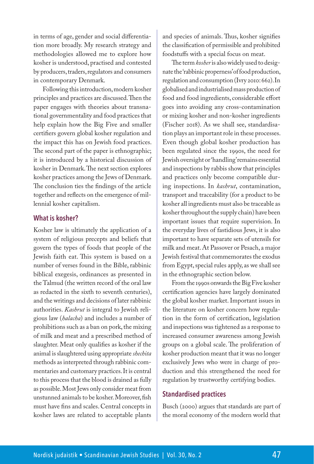in terms of age, gender and social differentiation more broadly. My research strategy and methodologies allowed me to explore how kosher is understood, practised and contested by producers, traders, regulators and consumers in contemporary Denmark.

Following this introduction, modern kosher principles and practices are discussed. Then the paper engages with theories about transnational governmentality and food practices that help explain how the Big Five and smaller certifiers govern global kosher regulation and the impact this has on Jewish food practices. The second part of the paper is ethnographic; it is introduced by a historical discussion of kosher in Denmark. The next section explores kosher practices among the Jews of Denmark. The conclusion ties the findings of the article together and reflects on the emergence of millennial kosher capitalism.

#### **What is kosher?**

Kosher law is ultimately the application of a system of religious precepts and beliefs that govern the types of foods that people of the Jewish faith eat. This system is based on a number of verses found in the Bible, rabbinic biblical exegesis, ordinances as presented in the Talmud (the written record of the oral law as redacted in the sixth to seventh centuries), and the writings and decisions of later rabbinic authorities. *Kashrut* is integral to Jewish religious law (*halacha*) and includes a number of prohibitions such as a ban on pork, the mixing of milk and meat and a prescribed method of slaughter. Meat only qualifies as kosher if the animal is slaughtered using appropriate *shechita* methods as interpreted through rabbinic commentaries and customary practices. It is central to this process that the blood is drained as fully as possible. Most Jews only consider meat from unstunned animals to be kosher. Moreover, fish must have fins and scales. Central concepts in kosher laws are related to acceptable plants

and species of animals. Thus, kosher signifies the classification of permissible and prohibited foodstuffs with a special focus on meat.

The term *kosher* is also widely used to designate the 'rabbinic properness' of food production, regulation and consumption (Ivry 2010: 662). In globalised and industrialised mass production of food and food ingredients, considerable effort goes into avoiding any cross-contamination or mixing kosher and non-kosher ingredients (Fischer 2018). As we shall see, standardisation plays an important role in these processes. Even though global kosher production has been regulated since the 1990s, the need for Jewish oversight or 'handling' remains essential and inspections by rabbis show that principles and practices only become compatible during inspections. In *kashrut*, contamination, transport and traceability (for a product to be kosher all ingredients must also be traceable as kosher throughout the supply chain) have been important issues that require supervision. In the everyday lives of fastidious Jews, it is also important to have separate sets of utensils for milk and meat. At Passover or Pesach, a major Jewish festival that commemorates the exodus from Egypt, special rules apply, as we shall see in the ethnographic section below.

From the 1990s onwards the Big Five kosher certification agencies have largely dominated the global kosher market. Important issues in the literature on kosher concern how regulation in the form of certification, legislation and inspections was tightened as a response to increased consumer awareness among Jewish groups on a global scale. The proliferation of kosher production meant that it was no longer exclusively Jews who were in charge of production and this strengthened the need for regulation by trustworthy certifying bodies.

#### **Standardised practices**

Busch (2000) argues that standards are part of the moral economy of the modern world that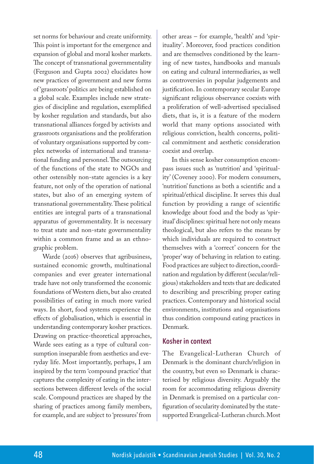set norms for behaviour and create uniformity. This point is important for the emergence and expansion of global and moral kosher markets. The concept of transnational governmentality (Ferguson and Gupta 2002) elucidates how new practices of government and new forms of 'grassroots' politics are being established on a global scale. Examples include new strategies of discipline and regulation, exemplified by kosher regulation and standards, but also transnational alliances forged by activists and grassroots organisations and the proliferation of voluntary organisations supported by complex networks of international and transnational funding and personnel. The outsourcing of the functions of the state to NGOs and other ostensibly non-state agencies is a key feature, not only of the operation of national states, but also of an emerging system of transnational governmentality. These political entities are integral parts of a transnational apparatus of governmentality. It is necessary to treat state and non-state governmentality within a common frame and as an ethnographic problem.

Warde (2016) observes that agribusiness, sustained economic growth, multinational companies and ever greater international trade have not only transformed the economic foundations of Western diets, but also created possibilities of eating in much more varied ways. In short, food systems experience the effects of globalisation, which is essential in understanding contemporary kosher practices. Drawing on practice-theoretical approaches, Warde sees eating as a type of cultural consumption inseparable from aesthetics and everyday life. Most importantly, perhaps, I am inspired by the term 'compound practice' that captures the complexity of eating in the intersections between different levels of the social scale. Compound practices are shaped by the sharing of practices among family members, for example, and are subject to 'pressures' from

other areas – for example, 'health' and 'spirituality'. Moreover, food practices condition and are themselves conditioned by the learning of new tastes, handbooks and manuals on eating and cultural intermediaries, as well as controversies in popular judgements and justification. In contemporary secular Europe significant religious observance coexists with a proliferation of well-advertised specialised diets, that is, it is a feature of the modern world that many options associated with religious conviction, health concerns, political commitment and aesthetic consideration coexist and overlap.

In this sense kosher consumption encompass issues such as 'nutrition' and 'spirituality' (Coveney 2000). For modern consumers, 'nutrition' functions as both a scientific and a spiritual/ethical discipline. It serves this dual function by providing a range of scientific knowledge about food and the body as 'spiritual' disciplines: spiritual here not only means theological, but also refers to the means by which individuals are required to construct themselves with a 'correct' concern for the 'proper' way of behaving in relation to eating. Food practices are subject to direction, coordination and regulation by different (secular/religious) stakeholders and texts that are dedicated to describing and prescribing proper eating practices. Contemporary and historical social environments, institutions and organisations thus condition compound eating practices in Denmark.

#### **Kosher in context**

The Evangelical-Lutheran Church of Denmark is the dominant church/religion in the country, but even so Denmark is characterised by religious diversity. Arguably the room for accommodating religious diversity in Denmark is premised on a particular configuration of secularity dominated by the statesupported Evangelical-Lutheran church. Most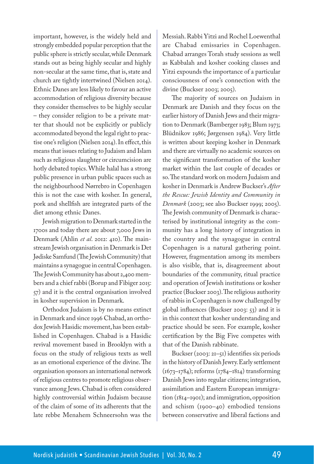important, however, is the widely held and strongly embedded popular perception that the public sphere is strictly secular, while Denmark stands out as being highly secular and highly non-secular at the same time, that is, state and church are tightly intertwined (Nielsen 2014). Ethnic Danes are less likely to favour an active accommodation of religious diversity because they consider themselves to be highly secular – they consider religion to be a private matter that should not be explicitly or publicly accommodated beyond the legal right to practise one's religion (Nielsen 2014). In effect, this means that issues relating to Judaism and Islam such as religious slaughter or circumcision are hotly debated topics. While halal has a strong public presence in urban public spaces such as the neighbourhood Nørrebro in Copenhagen this is not the case with kosher. In general, pork and shellfish are integrated parts of the diet among ethnic Danes.

Jewish migration to Denmark started in the 1700s and today there are about 7,000 Jews in Denmark (Ahlin *et al*. 2012: 410). The mainstream Jewish organisation in Denmark is Det Jødiske Samfund (The Jewish Community) that maintains a synagogue in central Copenhagen. The Jewish Community has about 2,400 members and a chief rabbi (Borup and Fibiger 2015: 57) and it is the central organisation involved in kosher supervision in Denmark.

Orthodox Judaism is by no means extinct in Denmark and since 1996 Chabad, an orthodox Jewish Hasidic movement, has been established in Copenhagen. Chabad is a Hasidic revival movement based in Brooklyn with a focus on the study of religious texts as well as an emotional experience of the divine. The organisation sponsors an international network of religious centres to promote religious observance among Jews. Chabad is often considered highly controversial within Judaism because of the claim of some of its adherents that the late rebbe Menahem Schneersohn was the Messiah. Rabbi Yitzi and Rochel Loewenthal are Chabad emissaries in Copenhagen. Chabad arranges Torah study sessions as well as Kabbalah and kosher cooking classes and Yitzi expounds the importance of a particular consciousness of one's connection with the divine (Buckser 2003; 2005).

The majority of sources on Judaism in Denmark are Danish and they focus on the earlier history of Danish Jews and their migration to Denmark (Bamberger 1983; Blum 1973; Blüdnikov 1986; Jørgensen 1984). Very little is written about keeping kosher in Denmark and there are virtually no academic sources on the significant transformation of the kosher market within the last couple of decades or so. The standard work on modern Judaism and kosher in Denmark is Andrew Buckser's *After the Rescue: Jewish Identity and Community in Denmark* (2003; see also Buckser 1999; 2005). The Jewish community of Denmark is characterised by institutional integrity as the community has a long history of integration in the country and the synagogue in central Copenhagen is a natural gathering point. However, fragmentation among its members is also visible, that is, disagreement about boundaries of the community, ritual practice and operation of Jewish institutions or kosher practice (Buckser 2003). The religious authority of rabbis in Copenhagen is now challenged by global influences (Buckser 2003: 53) and it is in this context that kosher understanding and practice should be seen. For example, kosher certification by the Big Five competes with that of the Danish rabbinate.

Buckser (2003: 21–51) identifies six periods in the history of Danish Jewry. Early settlement (1673–1784); reforms (1784–1814) transforming Danish Jews into regular citizens; integration, assimilation and Eastern European immigration (1814–1901); and immigration, opposition and schism (1900–40) embodied tensions between conservative and liberal factions and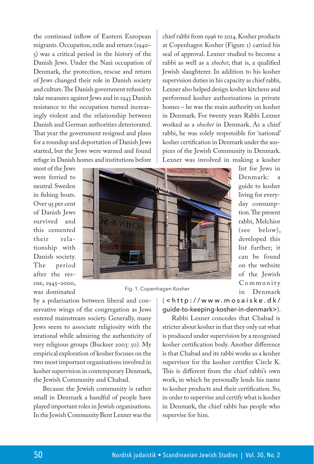the continued inflow of Eastern European migrants. Occupation, exile and return (1940– 5) was a critical period in the history of the Danish Jews. Under the Nazi occupation of Denmark, the protection, rescue and return of Jews changed their role in Danish society and culture. The Danish government refused to take measures against Jews and in 1943 Danish resistance to the occupation turned increasingly violent and the relationship between Danish and German authorities deteriorated. That year the government resigned and plans for a roundup and deportation of Danish Jews started, but the Jews were warned and found refuge in Danish homes and institutions before

chief rabbi from 1996 to 2014. Kosher products at Copenhagen Kosher (Figure 1) carried his seal of approval. Lexner studied to become a rabbi as well as a *shochet*, that is, a qualified Jewish slaughterer. In addition to his kosher supervision duties in his capacity as chief rabbi, Lexner also helped design kosher kitchens and performed kosher authorisations in private homes – he was the main authority on kosher in Denmark. For twenty years Rabbi Lexner worked as a *shochet* in Denmark. As a chief rabbi, he was solely responsible for 'national' kosher certification in Denmark under the auspices of the Jewish Community in Denmark. Lexner was involved in making a kosher

> list for Jews in Denmark: a guide to kosher living for everyday consumption. The present rabbi, Melchior (see below), developed this list further; it can be found on the website of the Jewish C o m m u n i t y in Denmark

most of the Jews were ferried to neutral Sweden in fishing boats. Over 95 per cent of Danish Jews survived and this cemented their relationship with Danish society. The period after the rescue, 1945–2000, was dominated



Fig. 1. Copenhagen Kosher

by a polarisation between liberal and conservative wings of the congregation as Jews entered mainstream society. Generally, many Jews seem to associate religiosity with the irrational while admiring the authenticity of very religious groups (Buckser 2003: 50). My empirical exploration of kosher focuses on the two most important organisations involved in kosher supervision in contemporary Denmark, the Jewish Community and Chabad.

Because the Jewish community is rather small in Denmark a handful of people have played important roles in Jewish organisations. In the Jewish Community Bent Lexner was the ( <http://www.mosaiske.dk/ guide-to-keeping-kosher-in-denmark>).

Rabbi Lexner concedes that Chabad is stricter about kosher in that they only eat what is produced under supervision by a recognised kosher certification body. Another difference is that Chabad and its rabbi works as a kosher supervisor for the kosher certifier Circle K. This is different from the chief rabbi's own work, in which he personally lends his name to kosher products and their certification. So, in order to supervise and certify what is kosher in Denmark, the chief rabbi has people who supervise for him.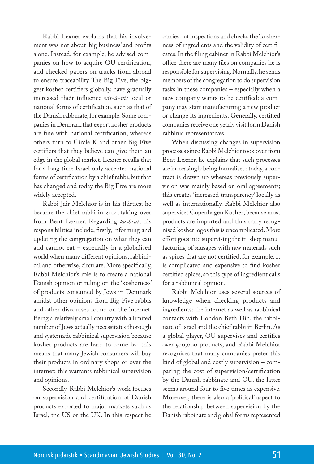Rabbi Lexner explains that his involvement was not about 'big business' and profits alone. Instead, for example, he advised companies on how to acquire OU certification, and checked papers on trucks from abroad to ensure traceability. The Big Five, the biggest kosher certifiers globally, have gradually increased their influence *vis-à-vis* local or national forms of certification, such as that of the Danish rabbinate, for example. Some companies in Denmark that export kosher products are fine with national certification, whereas others turn to Circle K and other Big Five certifiers that they believe can give them an edge in the global market. Lexner recalls that for a long time Israel only accepted national forms of certification by a chief rabbi, but that has changed and today the Big Five are more widely accepted.

Rabbi Jair Melchior is in his thirties; he became the chief rabbi in 2014, taking over from Bent Lexner. Regarding *kashrut*, his responsibilities include, firstly, informing and updating the congregation on what they can and cannot eat – especially in a globalised world when many different opinions, rabbinical and otherwise, circulate. More specifically, Rabbi Melchior's role is to create a national Danish opinion or ruling on the 'kosherness' of products consumed by Jews in Denmark amidst other opinions from Big Five rabbis and other discourses found on the internet. Being a relatively small country with a limited number of Jews actually necessitates thorough and systematic rabbinical supervision because kosher products are hard to come by: this means that many Jewish consumers will buy their products in ordinary shops or over the internet; this warrants rabbinical supervision and opinions.

Secondly, Rabbi Melchior's work focuses on supervision and certification of Danish products exported to major markets such as Israel, the US or the UK. In this respect he carries out inspections and checks the 'kosherness' of ingredients and the validity of certificates. In the filing cabinet in Rabbi Melchior's office there are many files on companies he is responsible for supervising. Normally, he sends members of the congregation to do supervision tasks in these companies – especially when a new company wants to be certified: a company may start manufacturing a new product or change its ingredients. Generally, certified companies receive one yearly visit form Danish rabbinic representatives.

When discussing changes in supervision processes since Rabbi Melchior took over from Bent Lexner, he explains that such processes are increasingly being formalised: today, a contract is drawn up whereas previously supervision was mainly based on oral agreements; this creates 'increased transparency' locally as well as internationally. Rabbi Melchior also supervises Copenhagen Kosher; because most products are imported and thus carry recognised kosher logos this is uncomplicated. More effort goes into supervising the in-shop manufacturing of sausages with raw materials such as spices that are not certified, for example. It is complicated and expensive to find kosher certified spices, so this type of ingredient calls for a rabbinical opinion.

Rabbi Melchior uses several sources of knowledge when checking products and ingredients: the internet as well as rabbinical contacts with London Beth Din, the rabbinate of Israel and the chief rabbi in Berlin. As a global player, OU supervises and certifies over 500,000 products, and Rabbi Melchior recognises that many companies prefer this kind of global and costly supervision – comparing the cost of supervision/certification by the Danish rabbinate and OU, the latter seems around four to five times as expensive. Moreover, there is also a 'political' aspect to the relationship between supervision by the Danish rabbinate and global forms represented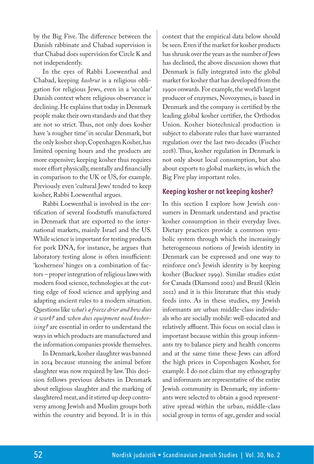by the Big Five. The difference between the Danish rabbinate and Chabad supervision is that Chabad does supervision for Circle K and not independently.

In the eyes of Rabbi Loewenthal and Chabad, keeping *kashrut* is a religious obligation for religious Jews, even in a 'secular' Danish context where religious observance is declining. He explains that today in Denmark people make their own standards and that they are not so strict. Thus, not only does kosher have 'a rougher time' in secular Denmark, but the only kosher shop, Copenhagen Kosher, has limited opening hours and the products are more expensive; keeping kosher thus requires more effort physically, mentally and financially in comparison to the UK or US, for example. Previously even 'cultural Jews' tended to keep kosher, Rabbi Loewenthal argues.

Rabbi Loewenthal is involved in the certification of several foodstuffs manufactured in Denmark that are exported to the international markets, mainly Israel and the US. While science is important for testing products for pork DNA, for instance, he argues that laboratory testing alone is often insufficient: 'kosherness' hinges on a combination of factors – proper integration of religious laws with modern food science, technologies at the cutting edge of food science and applying and adapting ancient rules to a modern situation. Questions like *what's a freeze drier and how does it work?* and *when does equipment need kosherising?* are essential in order to understand the ways in which products are manufactured and the information companies provide themselves.

In Denmark, kosher slaughter was banned in 2014 because stunning the animal before slaughter was now required by law. This decision follows previous debates in Denmark about religious slaughter and the marking of slaughtered meat, and it stirred up deep controversy among Jewish and Muslim groups both within the country and beyond. It is in this

context that the empirical data below should be seen. Even if the market for kosher products has shrunk over the years as the number of Jews has declined, the above discussion shows that Denmark is fully integrated into the global market for kosher that has developed from the 1990s onwards. For example, the world's largest producer of enzymes, Novozymes, is based in Denmark and the company is certified by the leading global kosher certifier, the Orthodox Union. Kosher biotechnical production is subject to elaborate rules that have warranted regulation over the last two decades (Fischer 2018). Thus, kosher regulation in Denmark is not only about local consumption, but also about exports to global markets, in which the Big Five play important roles.

## **Keeping kosher or not keeping kosher?**

In this section I explore how Jewish consumers in Denmark understand and practise kosher consumption in their everyday lives. Dietary practices provide a common symbolic system through which the increasingly heterogeneous notions of Jewish identity in Denmark can be expressed and one way to reinforce one's Jewish identity is by keeping kosher (Buckser 1999). Similar studies exist for Canada (Diamond 2002) and Brazil (Klein 2012) and it is this literature that this study feeds into. As in these studies, my Jewish informants are urban middle-class individuals who are socially mobile: well-educated and relatively affluent. This focus on social class is important because within this group informants try to balance piety and health concerns and at the same time these Jews can afford the high prices in Copenhagen Kosher, for example. I do not claim that my ethnography and informants are representative of the entire Jewish community in Denmark; my informants were selected to obtain a good representative spread within the urban, middle-class social group in terms of age, gender and social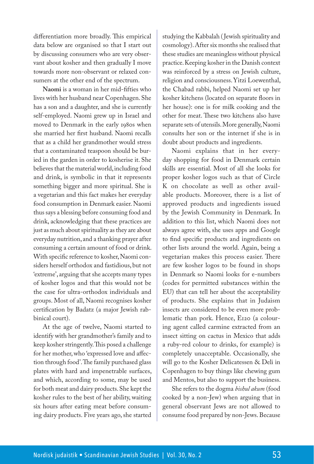differentiation more broadly. This empirical data below are organised so that I start out by discussing consumers who are very observant about kosher and then gradually I move towards more non-observant or relaxed consumers at the other end of the spectrum.

**Naomi** is a woman in her mid-fifties who lives with her husband near Copenhagen. She has a son and a daughter, and she is currently self-employed. Naomi grew up in Israel and moved to Denmark in the early 1980s when she married her first husband. Naomi recalls that as a child her grandmother would stress that a contaminated teaspoon should be buried in the garden in order to kosherise it. She believes that the material world, including food and drink, is symbolic in that it represents something bigger and more spiritual. She is a vegetarian and this fact makes her everyday food consumption in Denmark easier. Naomi thus says a blessing before consuming food and drink, acknowledging that these practices are just as much about spirituality as they are about everyday nutrition, and a thanking prayer after consuming a certain amount of food or drink. With specific reference to kosher, Naomi considers herself orthodox and fastidious, but not 'extreme', arguing that she accepts many types of kosher logos and that this would not be the case for ultra-orthodox individuals and groups. Most of all, Naomi recognises kosher certification by Badatz (a major Jewish rabbinical court).

At the age of twelve, Naomi started to identify with her grandmother's family and to keep kosher stringently. This posed a challenge for her mother, who 'expressed love and affection through food'. The family purchased glass plates with hard and impenetrable surfaces, and which, according to some, may be used for both meat and dairy products. She kept the kosher rules to the best of her ability, waiting six hours after eating meat before consuming dairy products. Five years ago, she started studying the Kabbalah ( Jewish spirituality and cosmology). After six months she realised that these studies are meaningless without physical practice. Keeping kosher in the Danish context was reinforced by a stress on Jewish culture, religion and consciousness. Yitzi Loewenthal, the Chabad rabbi, helped Naomi set up her kosher kitchens (located on separate floors in her house): one is for milk cooking and the other for meat. These two kitchens also have separate sets of utensils. More generally, Naomi consults her son or the internet if she is in doubt about products and ingredients.

Naomi explains that in her everyday shopping for food in Denmark certain skills are essential. Most of all she looks for proper kosher logos such as that of Circle K on chocolate as well as other available products. Moreover, there is a list of approved products and ingredients issued by the Jewish Community in Denmark. In addition to this list, which Naomi does not always agree with, she uses apps and Google to find specific products and ingredients on other lists around the world. Again, being a vegetarian makes this process easier. There are few kosher logos to be found in shops in Denmark so Naomi looks for e-numbers (codes for permitted substances within the EU) that can tell her about the acceptability of products. She explains that in Judaism insects are considered to be even more problematic than pork. Hence, E120 (a colouring agent called carmine extracted from an insect sitting on cactus in Mexico that adds a ruby-red colour to drinks, for example) is completely unacceptable. Occasionally, she will go to the Kosher Delicatessen & Deli in Copenhagen to buy things like chewing gum and Mentos, but also to support the business.

She refers to the dogma *bishul akum* (food cooked by a non-Jew) when arguing that in general observant Jews are not allowed to consume food prepared by non-Jews. Because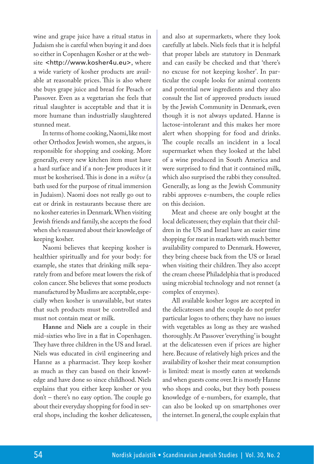wine and grape juice have a ritual status in Judaism she is careful when buying it and does so either in Copenhagen Kosher or at the website <http://www.kosher4u.eu>, where a wide variety of kosher products are available at reasonable prices. This is also where she buys grape juice and bread for Pesach or Passover. Even as a vegetarian she feels that ritual slaughter is acceptable and that it is more humane than industrially slaughtered stunned meat.

In terms of home cooking, Naomi, like most other Orthodox Jewish women, she argues, is responsible for shopping and cooking. More generally, every new kitchen item must have a hard surface and if a non-Jew produces it it must be kosherised. This is done in a *mikve* (a bath used for the purpose of ritual immersion in Judaism). Naomi does not really go out to eat or drink in restaurants because there are no kosher eateries in Denmark. When visiting Jewish friends and family, she accepts the food when she's reassured about their knowledge of keeping kosher.

Naomi believes that keeping kosher is healthier spiritually and for your body: for example, she states that drinking milk separately from and before meat lowers the risk of colon cancer. She believes that some products manufactured by Muslims are acceptable, especially when kosher is unavailable, but states that such products must be controlled and must not contain meat or milk.

**Hanne** and **Niels** are a couple in their mid-sixties who live in a flat in Copenhagen. They have three children in the US and Israel. Niels was educated in civil engineering and Hanne as a pharmacist. They keep kosher as much as they can based on their knowledge and have done so since childhood. Niels explains that you either keep kosher or you don't – there's no easy option. The couple go about their everyday shopping for food in several shops, including the kosher delicatessen, and also at supermarkets, where they look carefully at labels. Niels feels that it is helpful that proper labels are statutory in Denmark and can easily be checked and that 'there's no excuse for not keeping kosher'. In particular the couple looks for animal contents and potential new ingredients and they also consult the list of approved products issued by the Jewish Community in Denmark, even though it is not always updated. Hanne is lactose-intolerant and this makes her more alert when shopping for food and drinks. The couple recalls an incident in a local supermarket when they looked at the label of a wine produced in South America and were surprised to find that it contained milk, which also surprised the rabbi they consulted. Generally, as long as the Jewish Community rabbi approves e-numbers, the couple relies on this decision.

Meat and cheese are only bought at the local delicatessen; they explain that their children in the US and Israel have an easier time shopping for meat in markets with much better availability compared to Denmark. However, they bring cheese back from the US or Israel when visiting their children. They also accept the cream cheese Philadelphia that is produced using microbial technology and not rennet (a complex of enzymes).

All available kosher logos are accepted in the delicatessen and the couple do not prefer particular logos to others; they have no issues with vegetables as long as they are washed thoroughly. At Passover 'everything' is bought at the delicatessen even if prices are higher here. Because of relatively high prices and the availability of kosher their meat consumption is limited: meat is mostly eaten at weekends and when guests come over. It is mostly Hanne who shops and cooks, but they both possess knowledge of e-numbers, for example, that can also be looked up on smartphones over the internet. In general, the couple explain that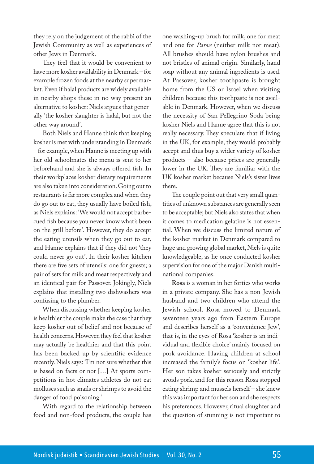they rely on the judgement of the rabbi of the Jewish Community as well as experiences of other Jews in Denmark.

They feel that it would be convenient to have more kosher availability in Denmark – for example frozen foods at the nearby supermarket. Even if halal products are widely available in nearby shops these in no way present an alternative to kosher: Niels argues that generally 'the kosher slaughter is halal, but not the other way around'.

Both Niels and Hanne think that keeping kosher is met with understanding in Denmark – for example, when Hanne is meeting up with her old schoolmates the menu is sent to her beforehand and she is always offered fish. In their workplaces kosher dietary requirements are also taken into consideration. Going out to restaurants is far more complex and when they do go out to eat, they usually have boiled fish, as Niels explains: 'We would not accept barbecued fish because you never know what's been on the grill before'. However, they do accept the eating utensils when they go out to eat, and Hanne explains that if they did not 'they could never go out'. In their kosher kitchen there are five sets of utensils: one for guests; a pair of sets for milk and meat respectively and an identical pair for Passover. Jokingly, Niels explains that installing two dishwashers was confusing to the plumber.

When discussing whether keeping kosher is healthier the couple make the case that they keep kosher out of belief and not because of health concerns. However, they feel that kosher may actually be healthier and that this point has been backed up by scientific evidence recently. Niels says: 'I'm not sure whether this is based on facts or not [...] At sports competitions in hot climates athletes do not eat molluscs such as snails or shrimps to avoid the danger of food poisoning.'

With regard to the relationship between food and non-food products, the couple has one washing-up brush for milk, one for meat and one for *Parve* (neither milk nor meat). All brushes should have nylon brushes and not bristles of animal origin. Similarly, hand soap without any animal ingredients is used. At Passover, kosher toothpaste is brought home from the US or Israel when visiting children because this toothpaste is not available in Denmark. However, when we discuss the necessity of San Pellegrino Soda being kosher Niels and Hanne agree that this is not really necessary. They speculate that if living in the UK, for example, they would probably accept and thus buy a wider variety of kosher products – also because prices are generally lower in the UK. They are familiar with the UK kosher market because Niels's sister lives there.

The couple point out that very small quantities of unknown substances are generally seen to be acceptable; but Niels also states that when it comes to medication gelatine is not essential. When we discuss the limited nature of the kosher market in Denmark compared to huge and growing global market, Niels is quite knowledgeable, as he once conducted kosher supervision for one of the major Danish multinational companies.

**Rosa** is a woman in her forties who works in a private company. She has a non-Jewish husband and two children who attend the Jewish school. Rosa moved to Denmark seventeen years ago from Eastern Europe and describes herself as a 'convenience Jew', that is, in the eyes of Rosa 'kosher is an individual and flexible choice' mainly focused on pork avoidance. Having children at school increased the family's focus on 'kosher life'. Her son takes kosher seriously and strictly avoids pork, and for this reason Rosa stopped eating shrimp and mussels herself – she knew this was important for her son and she respects his preferences. However, ritual slaughter and the question of stunning is not important to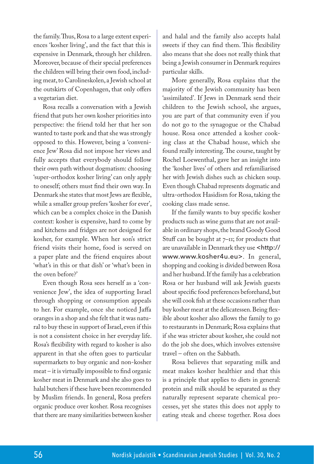the family. Thus, Rosa to a large extent experiences 'kosher living', and the fact that this is expensive in Denmark, through her children. Moreover, because of their special preferences the children will bring their own food, including meat, to Carolineskolen, a Jewish school at the outskirts of Copenhagen, that only offers a vegetarian diet.

Rosa recalls a conversation with a Jewish friend that puts her own kosher priorities into perspective: the friend told her that her son wanted to taste pork and that she was strongly opposed to this. However, being a 'convenience Jew' Rosa did not impose her views and fully accepts that everybody should follow their own path without dogmatism: choosing 'super-orthodox kosher living' can only apply to oneself; others must find their own way. In Denmark she states that most Jews are flexible, while a smaller group prefers 'kosher for ever', which can be a complex choice in the Danish context: kosher is expensive, hard to come by and kitchens and fridges are not designed for kosher, for example. When her son's strict friend visits their home, food is served on a paper plate and the friend enquires about 'what's in this or that dish' or 'what's been in the oven before?'

Even though Rosa sees herself as a 'convenience Jew', the idea of supporting Israel through shopping or consumption appeals to her. For example, once she noticed Jaffa oranges in a shop and she felt that it was natural to buy these in support of Israel, even if this is not a consistent choice in her everyday life. Rosa's flexibility with regard to kosher is also apparent in that she often goes to particular supermarkets to buy organic and non-kosher meat – it is virtually impossible to find organic kosher meat in Denmark and she also goes to halal butchers if these have been recommended by Muslim friends. In general, Rosa prefers organic produce over kosher. Rosa recognises that there are many similarities between kosher and halal and the family also accepts halal sweets if they can find them. This flexibility also means that she does not really think that being a Jewish consumer in Denmark requires particular skills.

More generally, Rosa explains that the majority of the Jewish community has been 'assimilated'. If Jews in Denmark send their children to the Jewish school, she argues, you are part of that community even if you do not go to the synagogue or the Chabad house. Rosa once attended a kosher cooking class at the Chabad house, which she found really interesting. The course, taught by Rochel Loewenthal, gave her an insight into the 'kosher lives' of others and refamiliarised her with Jewish dishes such as chicken soup. Even though Chabad represents dogmatic and ultra-orthodox Hasidism for Rosa, taking the cooking class made sense.

If the family wants to buy specific kosher products such as wine gums that are not available in ordinary shops, the brand Goody Good Stuff can be bought at  $7$ – $II$ ; for products that are unavailable in Denmark they use <http:// www.www.kosher4u.eu>. In general, shopping and cooking is divided between Rosa and her husband. If the family has a celebration Rosa or her husband will ask Jewish guests about specific food preferences beforehand, but she will cook fish at these occasions rather than buy kosher meat at the delicatessen. Being flexible about kosher also allows the family to go to restaurants in Denmark; Rosa explains that if she was stricter about kosher, she could not do the job she does, which involves extensive travel – often on the Sabbath.

Rosa believes that separating milk and meat makes kosher healthier and that this is a principle that applies to diets in general: protein and milk should be separated as they naturally represent separate chemical processes, yet she states this does not apply to eating steak and cheese together. Rosa does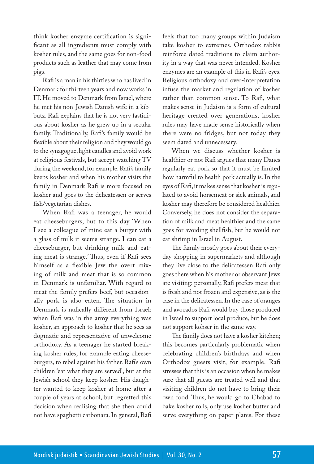think kosher enzyme certification is significant as all ingredients must comply with kosher rules, and the same goes for non-food products such as leather that may come from pigs.

**Rafi** is a man in his thirties who has lived in Denmark for thirteen years and now works in IT. He moved to Denmark from Israel, where he met his non-Jewish Danish wife in a kibbutz. Rafi explains that he is not very fastidious about kosher as he grew up in a secular family. Traditionally, Rafi's family would be flexible about their religion and they would go to the synagogue, light candles and avoid work at religious festivals, but accept watching TV during the weekend, for example. Rafi's family keeps kosher and when his mother visits the family in Denmark Rafi is more focused on kosher and goes to the delicatessen or serves fish/vegetarian dishes.

When Rafi was a teenager, he would eat cheeseburgers, but to this day 'When I see a colleague of mine eat a burger with a glass of milk it seems strange. I can eat a cheeseburger, but drinking milk and eating meat is strange.' Thus, even if Rafi sees himself as a flexible Jew the overt mixing of milk and meat that is so common in Denmark is unfamiliar. With regard to meat the family prefers beef, but occasionally pork is also eaten. The situation in Denmark is radically different from Israel: when Rafi was in the army everything was kosher, an approach to kosher that he sees as dogmatic and representative of unwelcome orthodoxy. As a teenager he started breaking kosher rules, for example eating cheeseburgers, to rebel against his father. Rafi's own children 'eat what they are served', but at the Jewish school they keep kosher. His daughter wanted to keep kosher at home after a couple of years at school, but regretted this decision when realising that she then could not have spaghetti carbonara. In general, Rafi

feels that too many groups within Judaism take kosher to extremes. Orthodox rabbis reinforce dated traditions to claim authority in a way that was never intended. Kosher enzymes are an example of this in Rafi's eyes. Religious orthodoxy and over-interpretation infuse the market and regulation of kosher rather than common sense. To Rafi, what makes sense in Judaism is a form of cultural heritage created over generations; kosher rules may have made sense historically when there were no fridges, but not today they seem dated and unnecessary.

When we discuss whether kosher is healthier or not Rafi argues that many Danes regularly eat pork so that it must be limited how harmful to health pork actually is. In the eyes of Rafi, it makes sense that kosher is regulated to avoid horsemeat or sick animals, and kosher may therefore be considered healthier. Conversely, he does not consider the separation of milk and meat healthier and the same goes for avoiding shellfish, but he would not eat shrimp in Israel in August.

The family mostly goes about their everyday shopping in supermarkets and although they live close to the delicatessen Rafi only goes there when his mother or observant Jews are visiting: personally, Rafi prefers meat that is fresh and not frozen and expensive, as is the case in the delicatessen. In the case of oranges and avocados Rafi would buy those produced in Israel to support local produce, but he does not support kohser in the same way.

The family does not have a kosher kitchen; this becomes particularly problematic when celebrating children's birthdays and when Orthodox guests visit, for example. Rafi stresses that this is an occasion when he makes sure that all guests are treated well and that visiting children do not have to bring their own food. Thus, he would go to Chabad to bake kosher rolls, only use kosher butter and serve everything on paper plates. For these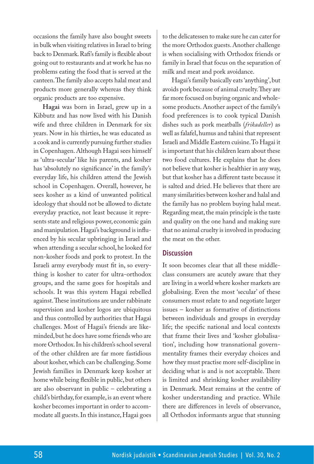occasions the family have also bought sweets in bulk when visiting relatives in Israel to bring back to Denmark. Rafi's family is flexible about going out to restaurants and at work he has no problems eating the food that is served at the canteen. The family also accepts halal meat and products more generally whereas they think organic products are too expensive.

**Hagai** was born in Israel, grew up in a Kibbutz and has now lived with his Danish wife and three children in Denmark for six years. Now in his thirties, he was educated as a cook and is currently pursuing further studies in Copenhagen. Although Hagai sees himself as 'ultra-secular' like his parents, and kosher has 'absolutely no significance' in the family's everyday life, his children attend the Jewish school in Copenhagen. Overall, however, he sees kosher as a kind of unwanted political ideology that should not be allowed to dictate everyday practice, not least because it represents state and religious power, economic gain and manipulation. Hagai's background is influenced by his secular upbringing in Israel and when attending a secular school, he looked for non-kosher foods and pork to protest. In the Israeli army everybody must fit in, so everything is kosher to cater for ultra-orthodox groups, and the same goes for hospitals and schools. It was this system Hagai rebelled against. These institutions are under rabbinate supervision and kosher logos are ubiquitous and thus controlled by authorities that Hagai challenges. Most of Hagai's friends are likeminded, but he does have some friends who are more Orthodox. In his children's school several of the other children are far more fastidious about kosher, which can be challenging. Some Jewish families in Denmark keep kosher at home while being flexible in public, but others are also observant in public – celebrating a child's birthday, for example, is an event where kosher becomes important in order to accommodate all guests. In this instance, Hagai goes

to the delicatessen to make sure he can cater for the more Orthodox guests. Another challenge is when socialising with Orthodox friends or family in Israel that focus on the separation of milk and meat and pork avoidance.

Hagai's family basically eats 'anything', but avoids pork because of animal cruelty. They are far more focused on buying organic and wholesome products. Another aspect of the family's food preferences is to cook typical Danish dishes such as pork meatballs (*frikadeller*) as well as falafel, humus and tahini that represent Israeli and Middle Eastern cuisine. To Hagai it is important that his children learn about these two food cultures. He explains that he does not believe that kosher is healthier in any way, but that kosher has a different taste because it is salted and dried. He believes that there are many similarities between kosher and halal and the family has no problem buying halal meat. Regarding meat, the main principle is the taste and quality on the one hand and making sure that no animal cruelty is involved in producing the meat on the other.

#### **Discussion**

It soon becomes clear that all these middleclass consumers are acutely aware that they are living in a world where kosher markets are globalising. Even the most 'secular' of these consumers must relate to and negotiate larger issues – kosher as formative of distinctions between individuals and groups in everyday life; the specific national and local contexts that frame their lives and 'kosher globalisation', including how transnational governmentality frames their everyday choices and how they must practise more self-discipline in deciding what is and is not acceptable. There is limited and shrinking kosher availability in Denmark. Meat remains at the centre of kosher understanding and practice. While there are differences in levels of observance, all Orthodox informants argue that stunning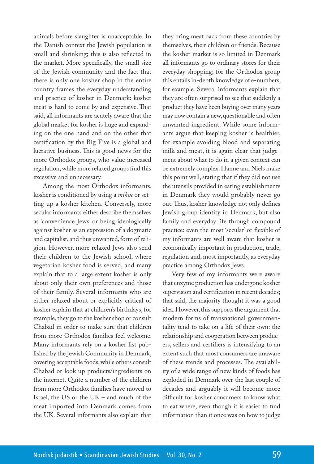animals before slaughter is unacceptable. In the Danish context the Jewish population is small and shrinking; this is also reflected in the market. More specifically, the small size of the Jewish community and the fact that there is only one kosher shop in the entire country frames the everyday understanding and practice of kosher in Denmark: kosher meat is hard to come by and expensive. That said, all informants are acutely aware that the global market for kosher is huge and expanding on the one hand and on the other that certification by the Big Five is a global and lucrative business. This is good news for the more Orthodox groups, who value increased regulation, while more relaxed groups find this excessive and unnecessary.

Among the most Orthodox informants, kosher is conditioned by using a *mikve* or setting up a kosher kitchen. Conversely, more secular informants either describe themselves as 'convenience Jews' or being ideologically against kosher as an expression of a dogmatic and capitalist, and thus unwanted, form of religion. However, more relaxed Jews also send their children to the Jewish school, where vegetarian kosher food is served, and many explain that to a large extent kosher is only about only their own preferences and those of their family. Several informants who are either relaxed about or explicitly critical of kosher explain that at children's birthdays, for example, they go to the kosher shop or consult Chabad in order to make sure that children from more Orthodox families feel welcome. Many informants rely on a kosher list published by the Jewish Community in Denmark, covering acceptable foods, while others consult Chabad or look up products/ingredients on the internet. Quite a number of the children from more Orthodox families have moved to Israel, the US or the UK – and much of the meat imported into Denmark comes from the UK. Several informants also explain that

they bring meat back from these countries by themselves, their children or friends. Because the kosher market is so limited in Denmark all informants go to ordinary stores for their everyday shopping; for the Orthodox group this entails in-depth knowledge of e-numbers, for example. Several informants explain that they are often surprised to see that suddenly a product they have been buying over many years may now contain a new, questionable and often unwanted ingredient. While some informants argue that keeping kosher is healthier, for example avoiding blood and separating milk and meat, it is again clear that judgement about what to do in a given context can be extremely complex. Hanne and Niels make this point well, stating that if they did not use the utensils provided in eating establishments in Denmark they would probably never go out. Thus, kosher knowledge not only defines Jewish group identity in Denmark, but also family and everyday life through compound practice: even the most 'secular' or flexible of my informants are well aware that kosher is economically important in production, trade, regulation and, most importantly, as everyday practice among Orthodox Jews.

Very few of my informants were aware that enzyme production has undergone kosher supervision and certification in recent decades; that said, the majority thought it was a good idea. However, this supports the argument that modern forms of transnational governmentality tend to take on a life of their own: the relationship and cooperation between producers, sellers and certifiers is intensifying to an extent such that most consumers are unaware of these trends and processes. The availability of a wide range of new kinds of foods has exploded in Denmark over the last couple of decades and arguably it will become more difficult for kosher consumers to know what to eat where, even though it is easier to find information than it once was on how to judge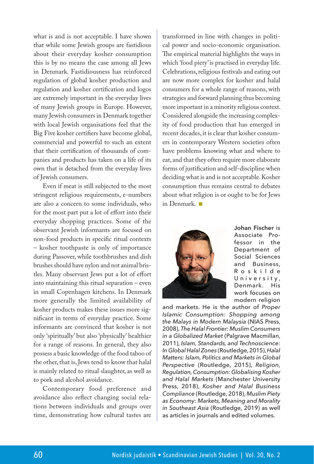what is and is not acceptable. I have shown that while some Jewish groups are fastidious about their everyday kosher consumption this is by no means the case among all Jews in Denmark. Fastidiousness has reinforced regulation of global kosher production and regulation and kosher certification and logos are extremely important in the everyday lives of many Jewish groups in Europe. However, many Jewish consumers in Denmark together with local Jewish organisations feel that the Big Five kosher certifiers have become global, commercial and powerful to such an extent that their certification of thousands of companies and products has taken on a life of its own that is detached from the everyday lives of Jewish consumers.

Even if meat is still subjected to the most stringent religious requirements, e-numbers are also a concern to some individuals, who for the most part put a lot of effort into their everyday shopping practices. Some of the observant Jewish informants are focused on non-food products in specific ritual contexts – kosher toothpaste is only of importance during Passover, while toothbrushes and dish brushes should have nylon and not animal bristles. Many observant Jews put a lot of effort into maintaining this ritual separation – even in small Copenhagen kitchens. In Denmark more generally the limited availability of kosher products makes these issues more significant in terms of everyday practice. Some informants are convinced that kosher is not only 'spiritually' but also 'physically' healthier for a range of reasons. In general, they also possess a basic knowledge of the food taboo of the other, that is, Jews tend to know that halal is mainly related to ritual slaughter, as well as to pork and alcohol avoidance.

Contemporary food preference and avoidance also reflect changing social relations between individuals and groups over time, demonstrating how cultural tastes are transformed in line with changes in political power and socio-economic organisation. The empirical material highlights the ways in which 'food piety' is practised in everyday life. Celebrations, religious festivals and eating out are now more complex for kosher and halal consumers for a whole range of reasons, with strategies and forward planning thus becoming more important in a minority religious context. Considered alongside the increasing complexity of food production that has emerged in recent decades, it is clear that kosher consumers in contemporary Western societies often have problems knowing what and where to eat, and that they often require more elaborate forms of justification and self-discipline when deciding what is and is not acceptable. Kosher consumption thus remains central to debates about what religion is or ought to be for Jews in Denmark.



**Johan Fischer** is Associate Professor in the Department of Social Sciences and Business, R o s k i l d e University, Denmark. His work focuses on modern religion

and markets. He is the author of *Proper Islamic Consumption: Shopping among the Malays in Modern Malaysia* (NIAS Press, 2008), *The Halal Frontier: Muslim Consumers in a Globalized Market* (Palgrave Macmillan, 2011), *Islam, Standards, and Technoscience: In Global Halal Zones* (Routledge, 2015), *Halal Matters: Islam, Politics and Markets in Global Perspective* (Routledge, 2015), *Religion, Regulation, Consumption: Globalising Kosher and Halal Markets* (Manchester University Press, 2018), *Kosher and Halal Business Compliance* (Routledge, 2018), *Muslim Piety as Economy: Markets, Meaning and Morality in Southeast Asia* (Routledge, 2019) as well as articles in journals and edited volumes.